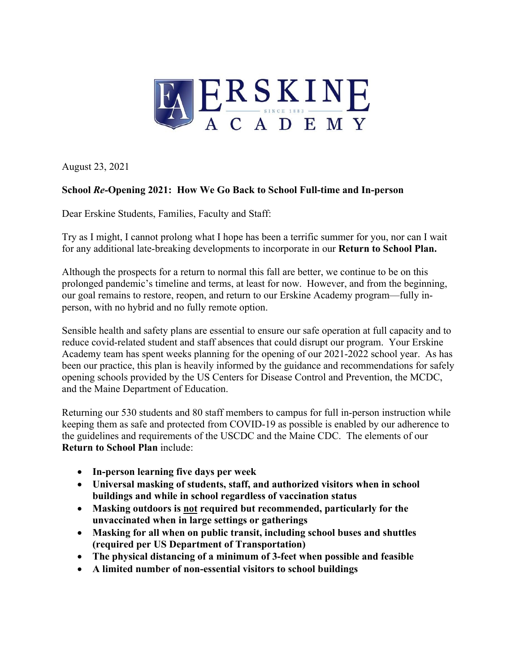

August 23, 2021

## **School** *Re-***Opening 2021: How We Go Back to School Full-time and In-person**

Dear Erskine Students, Families, Faculty and Staff:

Try as I might, I cannot prolong what I hope has been a terrific summer for you, nor can I wait for any additional late-breaking developments to incorporate in our **Return to School Plan.**

Although the prospects for a return to normal this fall are better, we continue to be on this prolonged pandemic's timeline and terms, at least for now. However, and from the beginning, our goal remains to restore, reopen, and return to our Erskine Academy program—fully inperson, with no hybrid and no fully remote option.

Sensible health and safety plans are essential to ensure our safe operation at full capacity and to reduce covid-related student and staff absences that could disrupt our program. Your Erskine Academy team has spent weeks planning for the opening of our 2021-2022 school year. As has been our practice, this plan is heavily informed by the guidance and recommendations for safely opening schools provided by the US Centers for Disease Control and Prevention, the MCDC, and the Maine Department of Education.

Returning our 530 students and 80 staff members to campus for full in-person instruction while keeping them as safe and protected from COVID-19 as possible is enabled by our adherence to the guidelines and requirements of the USCDC and the Maine CDC. The elements of our **Return to School Plan** include:

- **In-person learning five days per week**
- **Universal masking of students, staff, and authorized visitors when in school buildings and while in school regardless of vaccination status**
- **Masking outdoors is not required but recommended, particularly for the unvaccinated when in large settings or gatherings**
- **Masking for all when on public transit, including school buses and shuttles (required per US Department of Transportation)**
- **The physical distancing of a minimum of 3-feet when possible and feasible**
- **A limited number of non-essential visitors to school buildings**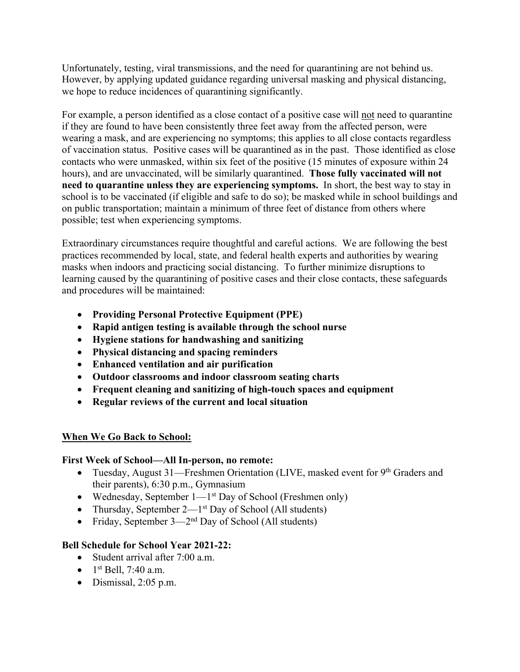Unfortunately, testing, viral transmissions, and the need for quarantining are not behind us. However, by applying updated guidance regarding universal masking and physical distancing, we hope to reduce incidences of quarantining significantly.

For example, a person identified as a close contact of a positive case will not need to quarantine if they are found to have been consistently three feet away from the affected person, were wearing a mask, and are experiencing no symptoms; this applies to all close contacts regardless of vaccination status. Positive cases will be quarantined as in the past. Those identified as close contacts who were unmasked, within six feet of the positive (15 minutes of exposure within 24 hours), and are unvaccinated, will be similarly quarantined. **Those fully vaccinated will not need to quarantine unless they are experiencing symptoms.** In short, the best way to stay in school is to be vaccinated (if eligible and safe to do so); be masked while in school buildings and on public transportation; maintain a minimum of three feet of distance from others where possible; test when experiencing symptoms.

Extraordinary circumstances require thoughtful and careful actions. We are following the best practices recommended by local, state, and federal health experts and authorities by wearing masks when indoors and practicing social distancing. To further minimize disruptions to learning caused by the quarantining of positive cases and their close contacts, these safeguards and procedures will be maintained:

- **Providing Personal Protective Equipment (PPE)**
- **Rapid antigen testing is available through the school nurse**
- **Hygiene stations for handwashing and sanitizing**
- **Physical distancing and spacing reminders**
- **Enhanced ventilation and air purification**
- **Outdoor classrooms and indoor classroom seating charts**
- **Frequent cleaning and sanitizing of high-touch spaces and equipment**
- **Regular reviews of the current and local situation**

## **When We Go Back to School:**

## **First Week of School—All In-person, no remote:**

- Tuesday, August 31—Freshmen Orientation (LIVE, masked event for 9<sup>th</sup> Graders and their parents), 6:30 p.m., Gymnasium
- Wednesday, September  $1-1^{st}$  Day of School (Freshmen only)
- Thursday, September  $2-1^{st}$  Day of School (All students)
- Friday, September  $3-2^{nd}$  Day of School (All students)

## **Bell Schedule for School Year 2021-22:**

- Student arrival after 7:00 a.m.
- $1^{st}$  Bell, 7:40 a.m.
- Dismissal, 2:05 p.m.